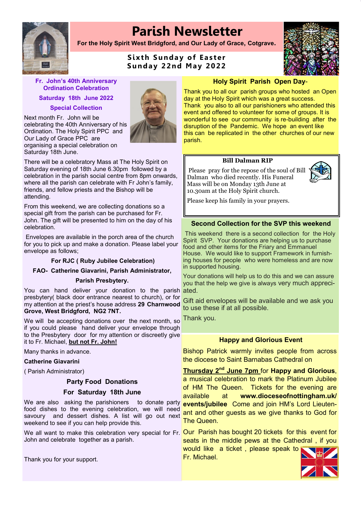# **Parish Newsletter**

**For the Holy Spirit West Bridgford, and Our Lady of Grace, Cotgrave.**

## **Sixth Sunday of Easter S und a y 22 nd May 2 022**



Next month Fr. John will be celebrating the 40th Anniversary of his Ordination. The Holy Spirit PPC and Our Lady of Grace PPC are organising a special celebration on Saturday 18th June.

There will be a celebratory Mass at The Holy Spirit on Saturday evening of 18th June 6.30pm followed by a celebration in the parish social centre from 8pm onwards, where all the parish can celebrate with Fr John's family, friends, and fellow priests and the Bishop will be attending.

From this weekend, we are collecting donations so a special gift from the parish can be purchased for Fr. John. The gift will be presented to him on the day of his celebration.

Envelopes are available in the porch area of the church for you to pick up and make a donation. Please label your envelope as follows;

#### **For RJC ( Ruby Jubilee Celebration)**

#### **FAO- Catherine Giavarini, Parish Administrator,**

#### **Parish Presbytery.**

You can hand deliver your donation to the parish presbytery( black door entrance nearest to church), or for my attention at the priest's house address **29 Charnwood Grove, West Bridgford, NG2 7NT.**

We will be accepting donations over the next month, so <mark>Thank you.</mark> if you could please hand deliver your envelope through to the Presbytery door for my attention or discreetly give it to Fr. Michael, **but not Fr. John!**

Many thanks in advance.

#### **Catherine Giavarini**

( Parish Administrator)

#### **Party Food Donations**

#### **For Saturday 18th June**

We are also asking the parishioners food dishes to the evening celebration, we will need savoury and dessert dishes. A list will go out next weekend to see if you can help provide this.

John and celebrate together as a parish.

Thank you for your support.

#### **Holy Spirit Parish Open Day**-

Thank you to all our parish groups who hosted an Open day at the Holy Spirit which was a great success. Thank you also to all our parishioners who attended this event and offered to volunteer for some of groups. It is wonderful to see our community is re-building after the disruption of the Pandemic. We hope an event like this can be replicated in the other churches of our new parish.

#### **Bill Dalman RIP**

Please pray for the repose of the soul of Bill Dalman who died recently. His Funeral Mass will be on Monday 13th June at 10.30am at the Holy Spirit church.



Please keep his family in your prayers.

#### **Second Collection for the SVP this weekend**

This weekend there is a second collection for the Holy Spirit SVP. Your donations are helping us to purchase food and other items for the Friary and Emmanuel House. We would like to support Framework in furnishing houses for people who were homeless and are now in supported housing.

Your donations will help us to do this and we can assure you that the help we give is always very much appreciated.

Gift aid envelopes will be available and we ask you to use these if at all possible.

#### **Happy and Glorious Event**

Bishop Patrick warmly invites people from across the diocese to Saint Barnabas Cathedral on

**Thursday 2nd June 7pm** for **Happy and Glorious**, a musical celebration to mark the Platinum Jubilee of HM The Queen. Tickets for the evening are available at **www.dioceseofnottingham.uk/ events/jubilee** Come and join HM's Lord Lieutenant and other guests as we give thanks to God for The Queen.

We all want to make this celebration very special for Fr. <mark>Our Parish has bought 20 tickets for this event for</mark> seats in the middle pews at the Cathedral , if you would like a ticket , please speak to Fr. Michael.



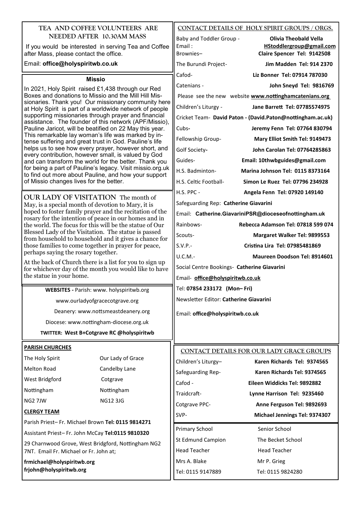| TEA AND COFFEE VOLUNTEERS ARE                                                                                                                                                                                                                                                                                                                                                                                                                                                                                                                                                                                                                                                                                                                                                                                                                                    |                                                                                                                  |                                             | CONTACT DETAILS OF HOLY SPIRIT GROUPS / ORGS.              |
|------------------------------------------------------------------------------------------------------------------------------------------------------------------------------------------------------------------------------------------------------------------------------------------------------------------------------------------------------------------------------------------------------------------------------------------------------------------------------------------------------------------------------------------------------------------------------------------------------------------------------------------------------------------------------------------------------------------------------------------------------------------------------------------------------------------------------------------------------------------|------------------------------------------------------------------------------------------------------------------|---------------------------------------------|------------------------------------------------------------|
| NEEDED AFTER 10.30AM MASS                                                                                                                                                                                                                                                                                                                                                                                                                                                                                                                                                                                                                                                                                                                                                                                                                                        |                                                                                                                  | Baby and Toddler Group -                    | <b>Olivia Theobald Vella</b>                               |
| If you would be interested in serving Tea and Coffee                                                                                                                                                                                                                                                                                                                                                                                                                                                                                                                                                                                                                                                                                                                                                                                                             |                                                                                                                  | Email:<br>Brownies-                         | HStoddlergroup@gmail.com<br>Claire Spencer Tel: 9142508    |
| after Mass, please contact the office.<br>Email: office@holyspiritwb.co.uk                                                                                                                                                                                                                                                                                                                                                                                                                                                                                                                                                                                                                                                                                                                                                                                       |                                                                                                                  | The Burundi Project-                        | Jim Madden Tel: 914 2370                                   |
|                                                                                                                                                                                                                                                                                                                                                                                                                                                                                                                                                                                                                                                                                                                                                                                                                                                                  |                                                                                                                  | Cafod-                                      | Liz Bonner Tel: 07914 787030                               |
|                                                                                                                                                                                                                                                                                                                                                                                                                                                                                                                                                                                                                                                                                                                                                                                                                                                                  | <b>Missio</b>                                                                                                    | Catenians -                                 |                                                            |
| In 2021, Holy Spirit raised £1,438 through our Red<br>Boxes and donations to Missio and the Mill Hill Mis-<br>sionaries. Thank you! Our missionary community here<br>at Holy Spirit is part of a worldwide network of people<br>supporting missionaries through prayer and financial<br>assistance. The founder of this network (APF/Missio),<br>Pauline Jaricot, will be beatified on 22 May this year.<br>This remarkable lay woman's life was marked by in-<br>tense suffering and great trust in God. Pauline's life<br>helps us to see how every prayer, however short, and<br>every contribution, however small, is valued by God<br>and can transform the world for the better. Thank you<br>for being a part of Pauline's legacy. Visit missio.org.uk<br>to find out more about Pauline, and how your support<br>of Missio changes lives for the better. |                                                                                                                  |                                             | John Sneyd Tel: 9816769                                    |
|                                                                                                                                                                                                                                                                                                                                                                                                                                                                                                                                                                                                                                                                                                                                                                                                                                                                  |                                                                                                                  |                                             | Please see the new website www.nottinghamcatenians.org     |
|                                                                                                                                                                                                                                                                                                                                                                                                                                                                                                                                                                                                                                                                                                                                                                                                                                                                  |                                                                                                                  | Children's Liturgy -                        | Jane Barrett Tel: 07785574975                              |
|                                                                                                                                                                                                                                                                                                                                                                                                                                                                                                                                                                                                                                                                                                                                                                                                                                                                  |                                                                                                                  |                                             | Cricket Team- David Paton - (David.Paton@nottingham.ac.uk) |
|                                                                                                                                                                                                                                                                                                                                                                                                                                                                                                                                                                                                                                                                                                                                                                                                                                                                  |                                                                                                                  | Cubs-                                       | Jeremy Fenn Tel: 07764 830794                              |
|                                                                                                                                                                                                                                                                                                                                                                                                                                                                                                                                                                                                                                                                                                                                                                                                                                                                  |                                                                                                                  | Fellowship Group-                           | Mary Elliot Smith Tel: 9149473                             |
|                                                                                                                                                                                                                                                                                                                                                                                                                                                                                                                                                                                                                                                                                                                                                                                                                                                                  |                                                                                                                  | Golf Society-                               | John Carolan Tel: 07764285863                              |
|                                                                                                                                                                                                                                                                                                                                                                                                                                                                                                                                                                                                                                                                                                                                                                                                                                                                  |                                                                                                                  | Guides-                                     | Email: 10thwbguides@gmail.com                              |
|                                                                                                                                                                                                                                                                                                                                                                                                                                                                                                                                                                                                                                                                                                                                                                                                                                                                  |                                                                                                                  | H.S. Badminton-                             | Marina Johnson Tel: 0115 8373164                           |
|                                                                                                                                                                                                                                                                                                                                                                                                                                                                                                                                                                                                                                                                                                                                                                                                                                                                  |                                                                                                                  | H.S. Celtic Football-                       | Simon Le Ruez Tel: 07796 234928                            |
| OUR LADY OF VISITATION The month of                                                                                                                                                                                                                                                                                                                                                                                                                                                                                                                                                                                                                                                                                                                                                                                                                              |                                                                                                                  | <b>H.S. PPC -</b>                           | Angela Fenn Tel: 07920 149140                              |
| May, is a special month of devotion to Mary, it is                                                                                                                                                                                                                                                                                                                                                                                                                                                                                                                                                                                                                                                                                                                                                                                                               |                                                                                                                  | Safeguarding Rep: Catherine Giavarini       |                                                            |
|                                                                                                                                                                                                                                                                                                                                                                                                                                                                                                                                                                                                                                                                                                                                                                                                                                                                  | hoped to foster family prayer and the recitation of the                                                          |                                             | Email: Catherine.GiavariniPSR@dioceseofnottingham.uk       |
|                                                                                                                                                                                                                                                                                                                                                                                                                                                                                                                                                                                                                                                                                                                                                                                                                                                                  | rosary for the intention of peace in our homes and in<br>the world. The focus for this will be the statue of Our |                                             | Rebecca Adamson Tel: 07818 599 074                         |
|                                                                                                                                                                                                                                                                                                                                                                                                                                                                                                                                                                                                                                                                                                                                                                                                                                                                  | Blessed Lady of the Visitation. The statue is passed                                                             | Scouts-                                     | Margaret Walker Tel: 9899553                               |
| from household to household and it gives a chance for<br>those families to come together in prayer for peace,                                                                                                                                                                                                                                                                                                                                                                                                                                                                                                                                                                                                                                                                                                                                                    |                                                                                                                  | $S.V.P. -$                                  | Cristina Lira Tel: 07985481869                             |
| perhaps saying the rosary together.                                                                                                                                                                                                                                                                                                                                                                                                                                                                                                                                                                                                                                                                                                                                                                                                                              |                                                                                                                  | U.C.M.-                                     | Maureen Doodson Tel: 8914601                               |
| At the back of Church there is a list for you to sign up<br>for whichever day of the month you would like to have<br>the statue in your home.                                                                                                                                                                                                                                                                                                                                                                                                                                                                                                                                                                                                                                                                                                                    |                                                                                                                  | Social Centre Bookings- Catherine Giavarini |                                                            |
|                                                                                                                                                                                                                                                                                                                                                                                                                                                                                                                                                                                                                                                                                                                                                                                                                                                                  |                                                                                                                  | Email- office@holyspiritwb.co.uk            |                                                            |
| WEBSITES - Parish: www. holyspiritwb.org                                                                                                                                                                                                                                                                                                                                                                                                                                                                                                                                                                                                                                                                                                                                                                                                                         |                                                                                                                  | Tel: 07854 233172 (Mon-Fri)                 |                                                            |
|                                                                                                                                                                                                                                                                                                                                                                                                                                                                                                                                                                                                                                                                                                                                                                                                                                                                  | www.ourladyofgracecotgrave.org                                                                                   | Newsletter Editor: Catherine Giavarini      |                                                            |
|                                                                                                                                                                                                                                                                                                                                                                                                                                                                                                                                                                                                                                                                                                                                                                                                                                                                  | Deanery: www.nottsmeastdeanery.org                                                                               | Email: office@holyspiritwb.co.uk            |                                                            |
|                                                                                                                                                                                                                                                                                                                                                                                                                                                                                                                                                                                                                                                                                                                                                                                                                                                                  | Diocese: www.nottingham-diocese.org.uk                                                                           |                                             |                                                            |
|                                                                                                                                                                                                                                                                                                                                                                                                                                                                                                                                                                                                                                                                                                                                                                                                                                                                  | TWITTER: West B+Cotgrave RC @holyspiritwb                                                                        |                                             |                                                            |
|                                                                                                                                                                                                                                                                                                                                                                                                                                                                                                                                                                                                                                                                                                                                                                                                                                                                  |                                                                                                                  |                                             |                                                            |
| <b>PARISH CHURCHES</b>                                                                                                                                                                                                                                                                                                                                                                                                                                                                                                                                                                                                                                                                                                                                                                                                                                           |                                                                                                                  |                                             | CONTACT DETAILS FOR OUR LADY GRACE GROUPS                  |
| The Holy Spirit                                                                                                                                                                                                                                                                                                                                                                                                                                                                                                                                                                                                                                                                                                                                                                                                                                                  | Our Lady of Grace                                                                                                | Children's Liturgy-                         | Karen Richards Tel: 9374565                                |
| <b>Melton Road</b>                                                                                                                                                                                                                                                                                                                                                                                                                                                                                                                                                                                                                                                                                                                                                                                                                                               | Candelby Lane                                                                                                    | Safeguarding Rep-                           | Karen Richards Tel: 9374565                                |
| West Bridgford                                                                                                                                                                                                                                                                                                                                                                                                                                                                                                                                                                                                                                                                                                                                                                                                                                                   | Cotgrave                                                                                                         | Cafod -                                     | Eileen Widdicks Tel: 9892882                               |
| Nottingham                                                                                                                                                                                                                                                                                                                                                                                                                                                                                                                                                                                                                                                                                                                                                                                                                                                       | Nottingham                                                                                                       | Traidcraft-                                 | Lynne Harrison Tel: 9235460                                |
| NG2 7JW                                                                                                                                                                                                                                                                                                                                                                                                                                                                                                                                                                                                                                                                                                                                                                                                                                                          | <b>NG12 3JG</b>                                                                                                  | Cotgrave PPC-                               | Anne Ferguson Tel: 9892693                                 |
|                                                                                                                                                                                                                                                                                                                                                                                                                                                                                                                                                                                                                                                                                                                                                                                                                                                                  | <b>CLERGY TEAM</b>                                                                                               |                                             | Michael Jennings Tel: 9374307                              |
| Parish Priest-Fr. Michael Brown Tel: 0115 9814271                                                                                                                                                                                                                                                                                                                                                                                                                                                                                                                                                                                                                                                                                                                                                                                                                |                                                                                                                  | <b>Primary School</b>                       | Senior School                                              |
| Assistant Priest-Fr. John McCay Tel:0115 9810320                                                                                                                                                                                                                                                                                                                                                                                                                                                                                                                                                                                                                                                                                                                                                                                                                 |                                                                                                                  | St Edmund Campion                           | The Becket School                                          |
| 29 Charnwood Grove, West Bridgford, Nottingham NG2                                                                                                                                                                                                                                                                                                                                                                                                                                                                                                                                                                                                                                                                                                                                                                                                               |                                                                                                                  | <b>Head Teacher</b>                         | <b>Head Teacher</b>                                        |
| 7NT. Email Fr. Michael or Fr. John at;                                                                                                                                                                                                                                                                                                                                                                                                                                                                                                                                                                                                                                                                                                                                                                                                                           |                                                                                                                  | Mrs A. Blake                                |                                                            |
| frmichael@holyspiritwb.org<br>frjohn@holyspiritwb.org                                                                                                                                                                                                                                                                                                                                                                                                                                                                                                                                                                                                                                                                                                                                                                                                            |                                                                                                                  | Tel: 0115 9147889                           | Mr P. Grieg                                                |
|                                                                                                                                                                                                                                                                                                                                                                                                                                                                                                                                                                                                                                                                                                                                                                                                                                                                  |                                                                                                                  |                                             | Tel: 0115 9824280                                          |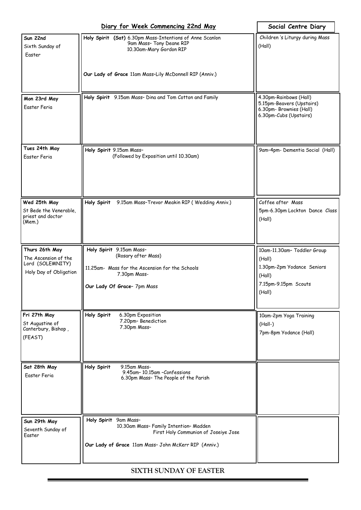|                                                                                      | Diary for Week Commencing 22nd May                                                                                                                                  | Social Centre Diary                                                                                             |
|--------------------------------------------------------------------------------------|---------------------------------------------------------------------------------------------------------------------------------------------------------------------|-----------------------------------------------------------------------------------------------------------------|
| Sun 22nd<br>Sixth Sunday of<br>Easter                                                | Holy Spirit (Sat) 6.30pm Mass-Intentions of Anne Scanlon<br>9am Mass- Tony Deane RIP<br>10.30am-Mary Gordon RIP                                                     | Children 's Liturgy during Mass<br>(Hall)                                                                       |
|                                                                                      | Our Lady of Grace 11am Mass-Lily McDonnell RIP (Anniv.)                                                                                                             |                                                                                                                 |
| Mon 23rd May<br>Easter Feria                                                         | Holy Spirit 9.15am Mass- Dina and Tom Cotton and Family                                                                                                             | 4.30pm-Rainbows (Hall)<br>5.15pm-Beavers (Upstairs)<br>6.30pm- Brownies (Hall)<br>6.30pm-Cubs (Upstairs)        |
| Tues 24th May<br>Easter Feria                                                        | Holy Spirit 9.15am Mass-<br>(Followed by Exposition until 10.30am)                                                                                                  | 9am-4pm- Dementia Social (Hall)                                                                                 |
| Wed 25th May<br>St Bede the Venerable,<br>priest and doctor<br>(Mem.)                | Holy Spirit<br>9.15am Mass-Trevor Meakin RIP (Wedding Anniv.)                                                                                                       | Coffee after Mass<br>5pm-6.30pm Lockton Dance Class<br>(Hall)                                                   |
| Thurs 26th May<br>The Ascension of the<br>Lord (SOLEMNITY)<br>Holy Day of Obligation | Holy Spirit 9.15am Mass-<br>(Rosary after Mass)<br>11.25am- Mass for the Ascension for the Schools<br>7.30pm Mass-<br>Our Lady Of Grace- 7pm Mass                   | 10am-11.30am- Toddler Group<br>(Hall)<br>1.30pm-2pm Yodance Seniors<br>(Hall)<br>7.15pm-9.15pm Scouts<br>(Hall) |
| Fri 27th May<br>St Augustine of<br>Canterbury, Bishop,<br>(FEAST)                    | Holy Spirit<br>6.30pm Exposition<br>7.20pm-Benediction<br>7.30pm Mass-                                                                                              | 10am-2pm Yoga Training<br>$(Hall-)$<br>7pm-8pm Yodance (Hall)                                                   |
| Sat 28th May<br>Easter Feria                                                         | Holy Spirit<br>9.15am Mass-<br>9.45am-10.15am -Confessions<br>6.30pm Mass- The People of the Parish                                                                 |                                                                                                                 |
| Sun 29th May<br>Seventh Sunday of<br>Easter                                          | 9am Mass-<br>Holy Spirit<br>10.30am Mass- Family Intention- Madden<br>First Holy Communion of Joseiye Jose<br>Our Lady of Grace 11am Mass- John McKerr RIP (Anniv.) |                                                                                                                 |

**SIXTH SUNDAY OF EASTER**